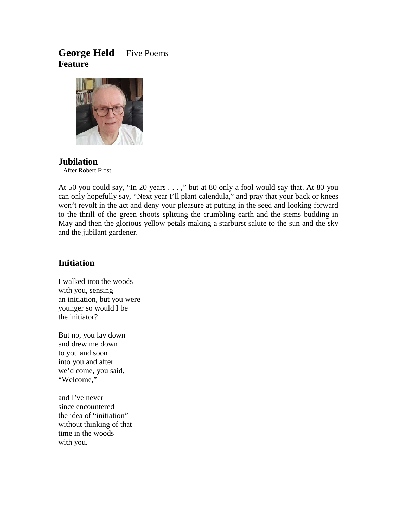# **George Held** – Five Poems **Feature**



## **Jubilation**

After Robert Frost

At 50 you could say, "In 20 years . . . ," but at 80 only a fool would say that. At 80 you can only hopefully say, "Next year I'll plant calendula," and pray that your back or knees won't revolt in the act and deny your pleasure at putting in the seed and looking forward to the thrill of the green shoots splitting the crumbling earth and the stems budding in May and then the glorious yellow petals making a starburst salute to the sun and the sky and the jubilant gardener.

## **Initiation**

I walked into the woods with you, sensing an initiation, but you were younger so would I be the initiator?

But no, you lay down and drew me down to you and soon into you and after we'd come, you said, "Welcome,"

and I've never since encountered the idea of "initiation" without thinking of that time in the woods with you.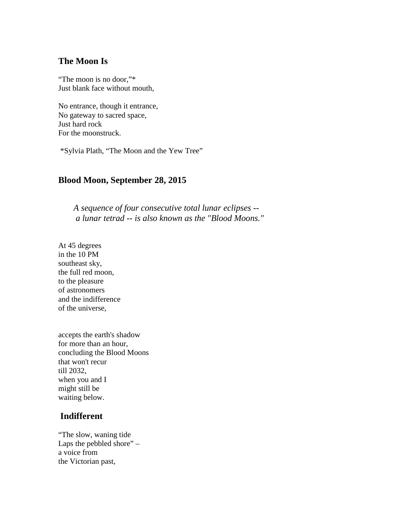### **The Moon Is**

"The moon is no door,"\* Just blank face without mouth,

No entrance, though it entrance, No gateway to sacred space, Just hard rock For the moonstruck.

\*Sylvia Plath, "The Moon and the Yew Tree"

#### **Blood Moon, September 28, 2015**

 *A sequence of four consecutive total lunar eclipses - a lunar tetrad -- is also known as the "Blood Moons."*

At 45 degrees in the 10 PM southeast sky, the full red moon, to the pleasure of astronomers and the indifference of the universe,

accepts the earth's shadow for more than an hour, concluding the Blood Moons that won't recur till 2032, when you and I might still be waiting below.

### **Indifferent**

"The slow, waning tide Laps the pebbled shore" – a voice from the Victorian past,